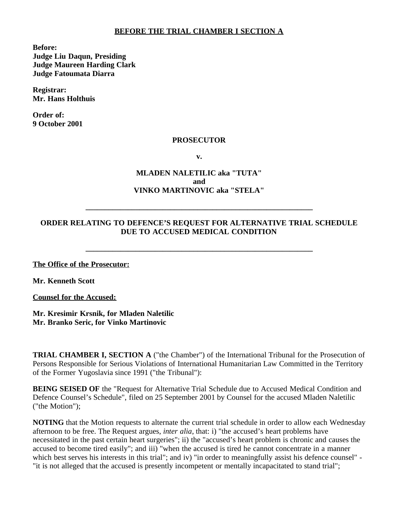#### **BEFORE THE TRIAL CHAMBER I SECTION A**

**Before: Judge Liu Daqun, Presiding Judge Maureen Harding Clark Judge Fatoumata Diarra**

**Registrar: Mr. Hans Holthuis**

**Order of: 9 October 2001**

#### **PROSECUTOR**

**v.**

## **MLADEN NALETILIC aka "TUTA" and VINKO MARTINOVIC aka "STELA"**

## **ORDER RELATING TO DEFENCE'S REQUEST FOR ALTERNATIVE TRIAL SCHEDULE DUE TO ACCUSED MEDICAL CONDITION**

**\_\_\_\_\_\_\_\_\_\_\_\_\_\_\_\_\_\_\_\_\_\_\_\_\_\_\_\_\_\_\_\_\_\_\_\_\_\_\_\_\_\_\_\_\_\_\_\_\_\_\_\_\_\_\_\_\_\_\_**

**\_\_\_\_\_\_\_\_\_\_\_\_\_\_\_\_\_\_\_\_\_\_\_\_\_\_\_\_\_\_\_\_\_\_\_\_\_\_\_\_\_\_\_\_\_\_\_\_\_\_\_\_\_\_\_\_\_\_\_**

**The Office of the Prosecutor:**

**Mr. Kenneth Scott**

**Counsel for the Accused:**

**Mr. Kresimir Krsnik, for Mladen Naletilic Mr. Branko Seric, for Vinko Martinovic**

**TRIAL CHAMBER I, SECTION A** ("the Chamber") of the International Tribunal for the Prosecution of Persons Responsible for Serious Violations of International Humanitarian Law Committed in the Territory of the Former Yugoslavia since 1991 ("the Tribunal"):

**BEING SEISED OF** the "Request for Alternative Trial Schedule due to Accused Medical Condition and Defence Counsel's Schedule", filed on 25 September 2001 by Counsel for the accused Mladen Naletilic ("the Motion");

**NOTING** that the Motion requests to alternate the current trial schedule in order to allow each Wednesday afternoon to be free. The Request argues, *inter alia*, that: i) "the accused's heart problems have necessitated in the past certain heart surgeries"; ii) the "accused's heart problem is chronic and causes the accused to become tired easily"; and iii) "when the accused is tired he cannot concentrate in a manner which best serves his interests in this trial"; and iv) "in order to meaningfully assist his defence counsel" -"it is not alleged that the accused is presently incompetent or mentally incapacitated to stand trial";